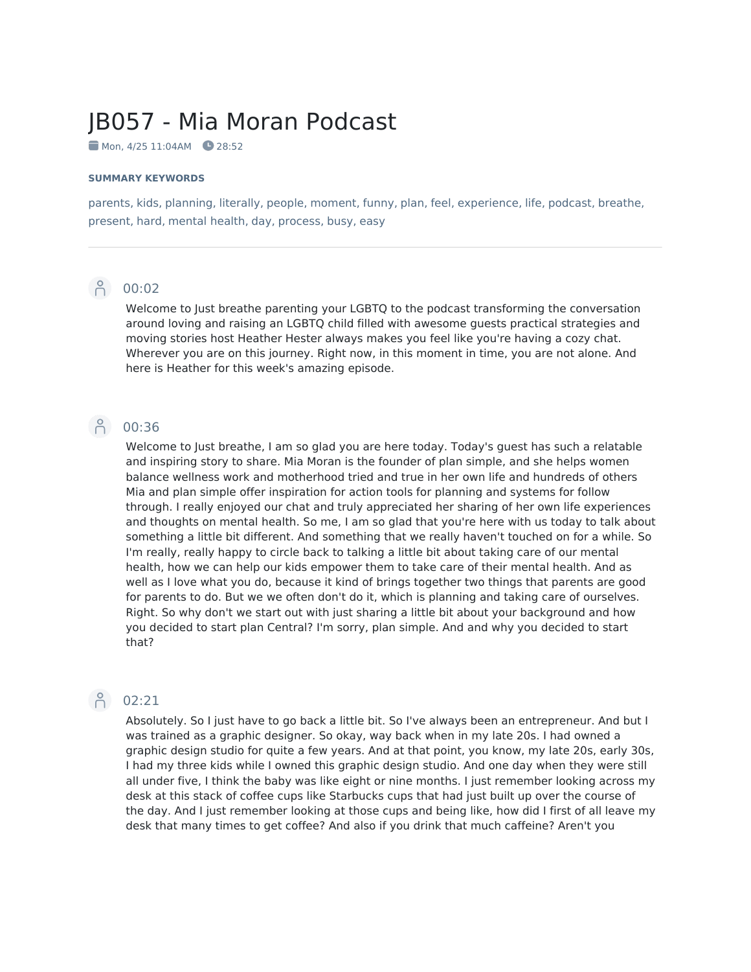# JB057 - Mia Moran Podcast

 $\blacksquare$  Mon, 4/25 11:04AM  $\blacksquare$  28:52

### **SUMMARY KEYWORDS**

parents, kids, planning, literally, people, moment, funny, plan, feel, experience, life, podcast, breathe, present, hard, mental health, day, process, busy, easy



Welcome to Just breathe parenting your LGBTQ to the podcast transforming the conversation around loving and raising an LGBTQ child filled with awesome guests practical strategies and moving stories host Heather Hester always makes you feel like you're having a cozy chat. Wherever you are on this journey. Right now, in this moment in time, you are not alone. And here is Heather for this week's amazing episode.

### **P** 00:36

Welcome to Just breathe, I am so glad you are here today. Today's guest has such a relatable and inspiring story to share. Mia Moran is the founder of plan simple, and she helps women balance wellness work and motherhood tried and true in her own life and hundreds of others Mia and plan simple offer inspiration for action tools for planning and systems for follow through. I really enjoyed our chat and truly appreciated her sharing of her own life experiences and thoughts on mental health. So me, I am so glad that you're here with us today to talk about something a little bit different. And something that we really haven't touched on for a while. So I'm really, really happy to circle back to talking a little bit about taking care of our mental health, how we can help our kids empower them to take care of their mental health. And as well as I love what you do, because it kind of brings together two things that parents are good for parents to do. But we we often don't do it, which is planning and taking care of ourselves. Right. So why don't we start out with just sharing a little bit about your background and how you decided to start plan Central? I'm sorry, plan simple. And and why you decided to start that?

### P 02:21

Absolutely. So I just have to go back a little bit. So I've always been an entrepreneur. And but I was trained as a graphic designer. So okay, way back when in my late 20s. I had owned a graphic design studio for quite a few years. And at that point, you know, my late 20s, early 30s, I had my three kids while I owned this graphic design studio. And one day when they were still all under five, I think the baby was like eight or nine months. I just remember looking across my desk at this stack of coffee cups like Starbucks cups that had just built up over the course of the day. And I just remember looking at those cups and being like, how did I first of all leave my desk that many times to get coffee? And also if you drink that much caffeine? Aren't you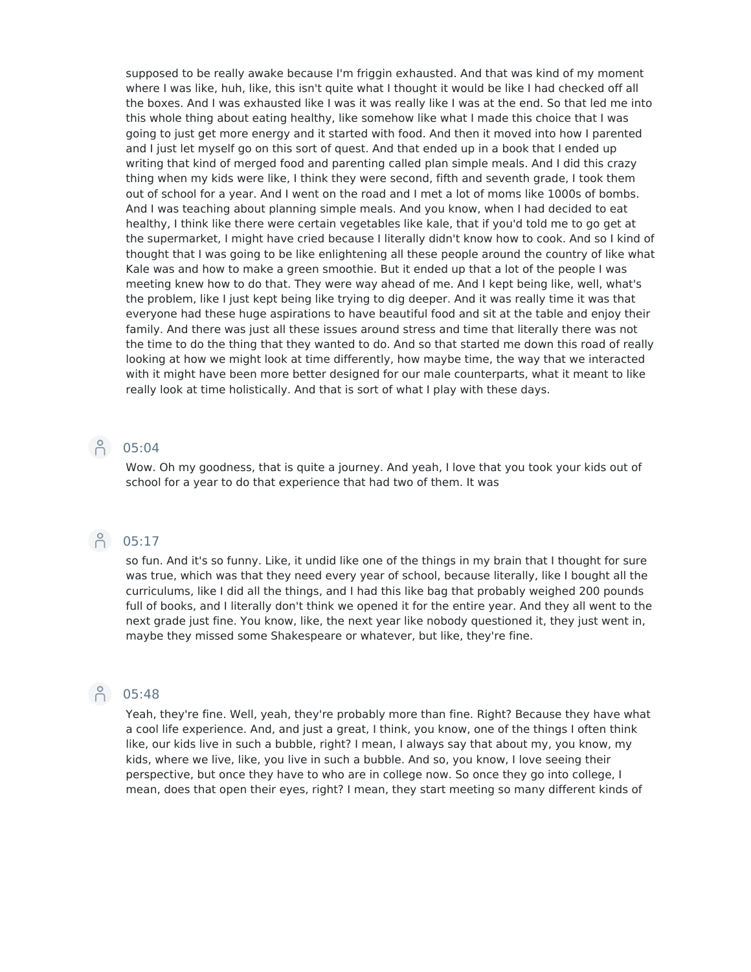supposed to be really awake because I'm friggin exhausted. And that was kind of my moment where I was like, huh, like, this isn't quite what I thought it would be like I had checked off all the boxes. And I was exhausted like I was it was really like I was at the end. So that led me into this whole thing about eating healthy, like somehow like what I made this choice that I was going to just get more energy and it started with food. And then it moved into how Iparented and I just let myself go on this sort of quest. And that ended up in a book that I ended up writing that kind of merged food and parenting called plan simple meals. And I did this crazy thing when my kids were like, I think they were second, fifth and seventh grade, I took them out of school for a year. And I went on the road and I met a lot of moms like 1000s of bombs. And I was teaching about planning simple meals. And you know, when I had decided to eat healthy, I think like there were certain vegetables like kale, that if you'd told me to go get at the supermarket, I might have cried because I literally didn't know how to cook. And so I kind of thought that I was going to be like enlightening all these people around the country of like what Kale was and how to make a green smoothie. But it ended up that a lot of the people I was meeting knew how to do that. They were way ahead of me. And I kept being like, well, what's the problem, like I just kept being like trying to dig deeper. And it was really time it was that everyone had these huge aspirations to have beautiful food and sit at the table and enjoy their family. And there was just all these issues around stress and time that literally there was not the time to do the thing that they wanted to do. And so that started me down this road of really looking at how we might look at time differently, how maybe time, the way that we interacted with it might have been more better designed for our male counterparts, what it meant to like really look at time holistically. And that is sort of what I play with these days.

### $\bigcap_{1}^{6}$  05:04

Wow. Oh my goodness, that is quite a journey. And yeah, I love that you took your kids out of school for a year to do that experience that had two of them. It was

## $\beta$  05:17

so fun. And it's so funny. Like, it undid like one of the things in my brain that I thought for sure was true, which was that they need every year of school, because literally, like I bought all the curriculums, like I did all the things, and I had this like bag that probably weighed 200 pounds full of books, and I literally don't think we opened it for the entire year. And they all went to the next grade just fine. You know, like, the next year like nobody questioned it, they just went in, maybe they missed some Shakespeare or whatever, but like, they're fine.

### $\bigcap_{1}^{8}$  05:48

Yeah, they're fine. Well, yeah, they're probably more than fine. Right? Because they have what a cool life experience. And, and just a great, I think, you know, one of the things I often think like, our kids live in such a bubble, right? I mean, I always say that about my, you know, my kids, where we live, like, you live in such a bubble. And so, you know, I love seeing their perspective, but once they have to who are in college now. So once they go into college, I mean, does that open their eyes, right? I mean, they start meeting so many different kinds of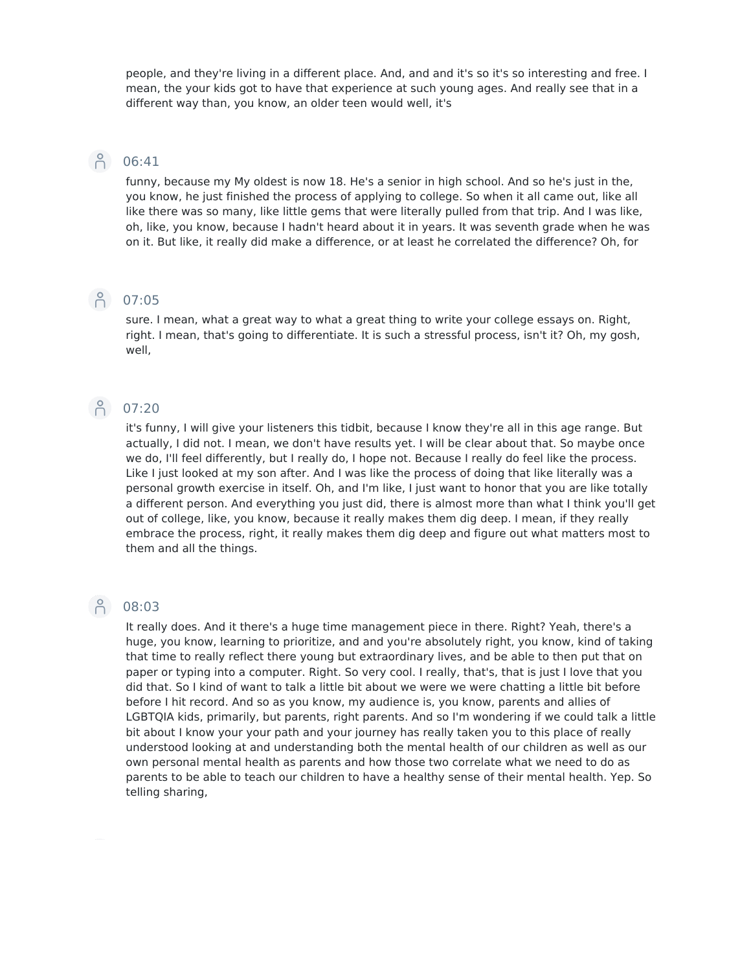people, and they're living in a different place. And, and and it's so it's so interesting and free. I mean, the your kids got to have that experience at such young ages. And really see that in a different way than, you know, an older teen would well, it's

### 6:41

funny, because my My oldest is now 18. He's a senior in high school. And so he's just in the, you know, he just finished the process of applying to college. So when it all came out, like all like there was so many, like little gems that were literally pulled from that trip. And I was like, oh, like, you know, because I hadn't heard about it in years. It was seventh grade when he was on it. But like, it really did make a difference, or at least he correlated the difference? Oh, for

### **P** 07:05

sure. I mean, what a great way to what a great thing to write your college essays on. Right, right. I mean, that's going to differentiate. It is such a stressful process, isn't it? Oh, my gosh, well,

### P 07:20

it's funny, I will give your listeners this tidbit, because I know they're all in this age range. But actually, I did not. I mean, we don't have results yet. I will be clear about that. So maybe once we do, I'll feel differently, but I really do, I hope not. Because I really do feel like the process. Like I just looked at my son after. And I was like the process of doing that like literally was a personal growth exercise in itself. Oh, and I'm like, I just want to honor that you are like totally a different person. And everything you just did, there is almost more than what I think you'll get out of college, like, you know, because it really makes them dig deep. I mean, if they really embrace the process, right, it really makes them dig deep and figure out what matters most to them and all the things.

### ြို 08:03

It really does. And it there's a huge time management piece in there. Right? Yeah, there's a huge, you know, learning to prioritize, and and you're absolutely right, you know, kind of taking that time to really reflect there young but extraordinary lives, and be able to then put that on paper or typing into a computer. Right. So very cool. I really, that's, that is just I love that you did that. So I kind of want to talk a little bit about we were we were chatting a little bit before before I hit record. And so as you know, my audience is, you know, parents and allies of LGBTQIA kids, primarily, but parents, right parents. And so I'm wondering if we could talk a little bit about I know your your path and your journey has really taken you to this place of really understood looking at and understanding both the mental health of our children as well as our own personal mental health as parents and how those two correlate what we need to do as parents to be able to teach our children to have a healthy sense of their mental health. Yep. So telling sharing,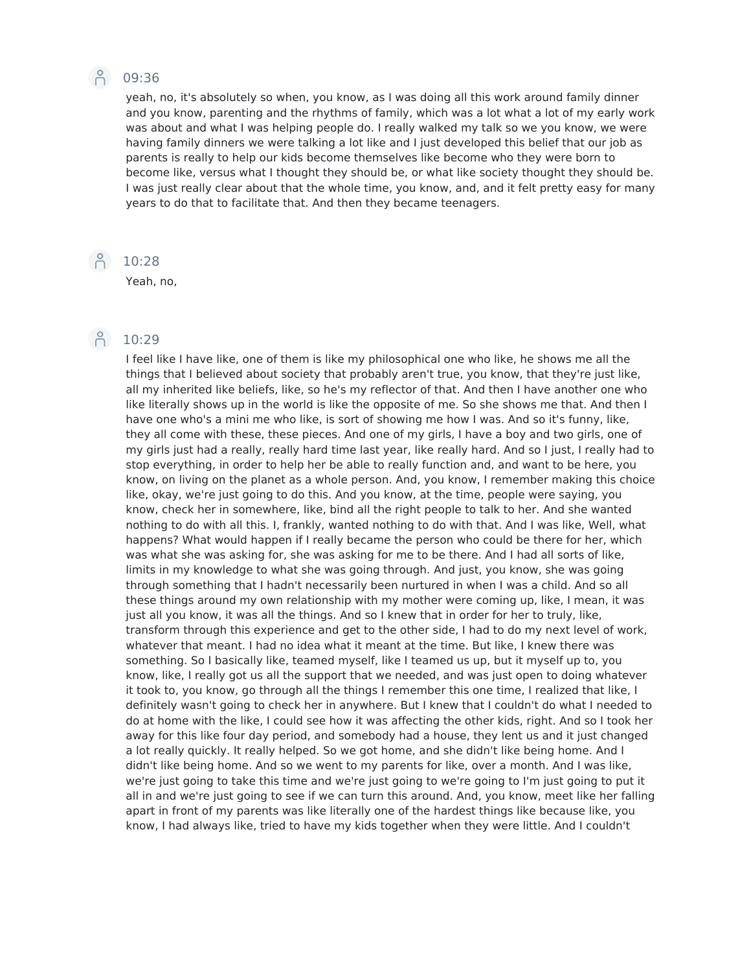### **P** 09:36

yeah, no, it's absolutely so when, you know, as I was doing all this work around family dinner and you know, parenting and the rhythms of family, which was a lot what a lot of my early work was about and what I was helping people do. I really walked my talk so we you know, we were having family dinners we were talking a lot like and I just developed this belief that our job as parents is really to help our kids become themselves like become who they were born to become like, versus what I thought they should be, or what like society thought they should be. I was just really clear about that the whole time, you know, and, and it felt pretty easy for many years to do that to facilitate that. And then they became teenagers.

**Page 10:28** 

Yeah, no,

### A 10:29

I feel like I have like, one of them is like my philosophical one who like, he shows me all the things that I believed about society that probably aren't true, you know, that they're just like, all my inherited like beliefs, like, so he's my reflector of that. And then I have another one who like literally shows up in the world is like the opposite of me. So she shows me that. And then I have one who's a mini me who like, is sort of showing me how I was. And so it's funny, like, they all come with these, these pieces. And one of my girls, I have a boy and two girls, one of my girls just had a really, really hard time last year, like really hard. And so I just, I really had to stop everything, in order to help her be able to really function and, and want to be here, you know, on living on the planet as a whole person. And, you know, I remember making this choice like, okay, we're just going to do this. And you know, at the time, people were saying, you know, check her in somewhere, like, bind all the right people to talk to her. And she wanted nothing to do with all this. I, frankly, wanted nothing to do with that. And I was like, Well, what happens? What would happen if I really became the person who could be there for her, which was what she was asking for, she was asking for me to be there. And I had all sorts of like, limits in my knowledge to what she was going through. And just, you know, she was going through something that I hadn't necessarily been nurtured in when I was a child. And so all these things around my own relationship with my mother were coming up, like, I mean, it was just all you know, it was all the things. And so I knew that in order for her to truly, like, transform through this experience and get to the other side, I had to do my next level of work, whatever that meant. I had no idea what it meant at the time. But like, I knew there was something. So I basically like, teamed myself, like I teamed us up, but it myself up to, you know, like, I really got us all the support that we needed, and was just open to doing whatever it took to, you know, go through all the things I remember this one time, I realized that like, I definitely wasn't going to check her in anywhere. But I knew that I couldn't do what I needed to do at home with the like, I could see how it was affecting the other kids, right. And so I took her away for this like four day period, and somebody had a house, they lent us and it just changed a lot really quickly. It really helped. So we got home, and she didn't like being home. And I didn't like being home. And so we went to my parents for like, over a month. And I was like, we're just going to take this time and we're just going to we're going to I'm just going to put it all in and we're just going to see if we can turn this around. And, you know, meet like her falling apart in front of my parents was like literally one of the hardest things like because like, you know, I had always like, tried to have my kids together when they were little. And I couldn't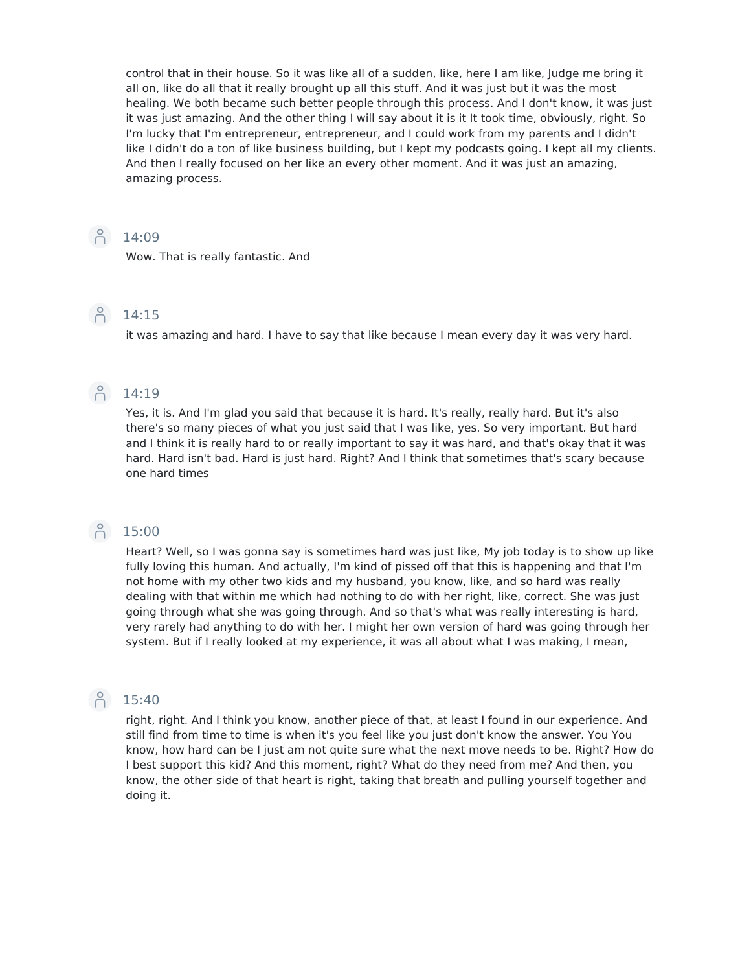control that in their house. So it was like all of a sudden, like, here I am like, Judge me bring it all on, like do all that it really brought up all this stuff. And it was just but it was the most healing. We both became such better people through this process. And I don't know, it was just it was just amazing. And the other thing I will say about it is it It took time, obviously, right. So I'm lucky that I'm entrepreneur, entrepreneur, and I could work from my parents and I didn't like I didn't do a ton of like business building, but I kept my podcasts going. I kept all my clients. And then I really focused on her like an every other moment. And it was just an amazing, amazing process.

### $\bigcap_{14:09}^{\infty}$

Wow. That is really fantastic. And

### P 14:15

it was amazing and hard. I have to say that like because I mean every day it was very hard.

### A 14:19

Yes, it is. And I'm glad you said that because it is hard. It's really, really hard. But it's also there's so many pieces of what you just said that I was like, yes. So very important. But hard and I think it is really hard to or really important to say it was hard, and that's okay that it was hard. Hard isn't bad. Hard is just hard. Right? And I think that sometimes that's scary because one hard times

### **P** 15:00

Heart? Well, so I was gonna say is sometimes hard was just like, My job today is to show up like fully loving this human. And actually, I'm kind of pissed off that this is happening and that I'm not home with my other two kids and my husband, you know, like, and so hard was really dealing with that within me which had nothing to do with her right, like, correct. She was just going through what she was going through. And so that's what was really interesting is hard, very rarely had anything to do with her. I might her own version of hard was going through her system. But if I really looked at my experience, it was all about what I was making, I mean,

### $\beta$  15:40

right, right. And I think you know, another piece of that, at least I found in our experience. And still find from time to time is when it's you feel like you just don't know the answer. You You know, how hard can be I just am not quite sure what the next move needs to be. Right? How do I best support this kid? And this moment, right? What do they need from me? And then, you know, the other side of that heart is right, taking that breath and pulling yourself together and doing it.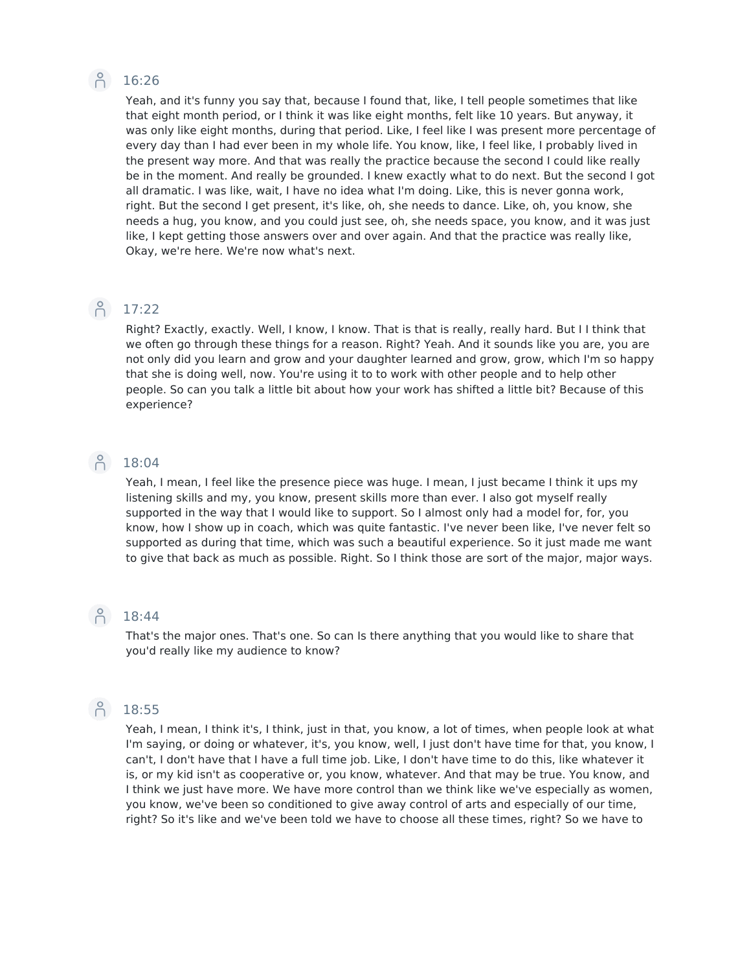## A 16:26

Yeah, and it's funny you say that, because I found that, like, I tell people sometimes that like that eight month period, or I think it was like eight months, felt like 10 years. But anyway, it was only like eight months, during that period. Like, I feel like I was present more percentage of every day than I had ever been in my whole life. You know, like, I feel like, I probably lived in the present way more. And that was really the practice because the second I could like really be in the moment. And really be grounded. I knew exactly what to do next. But the second I got all dramatic. I was like, wait, I have no idea what I'm doing. Like, this is never gonna work, right. But the second I get present, it's like, oh, she needs to dance. Like, oh, you know, she needs a hug, you know, and you could just see, oh, she needs space, you know, and it was just like, I kept getting those answers over and over again. And that the practice was really like, Okay, we're here. We're now what's next.

### $\bigcap_{1}^{0}$  17:22

Right? Exactly, exactly. Well, I know, I know. That is that is really, really hard. But I I think that we often go through these things for a reason. Right? Yeah. And it sounds like you are, you are not only did you learn and grow and your daughter learned and grow, grow, which I'm so happy that she is doing well, now. You're using it to to work with other people and to help other people. So can you talk a little bit about how your work has shifted a little bit? Because of this experience?

### P 18:04

Yeah, I mean, I feel like the presence piece was huge. I mean, I just became I think it ups my listening skills and my, you know, present skills more than ever. I also got myself really supported in the way that I would like to support. So I almost only had a model for, for, you know, how I show up in coach, which was quite fantastic. I've never been like, I've never felt so supported as during that time, which was such a beautiful experience. So it just made me want to give that back as much as possible. Right. So I think those are sort of the major, major ways.

### P 18:44

That's the major ones. That's one. So can Is there anything that you would like to share that you'd really like my audience to know?

## 18:55

Yeah, I mean, I think it's, I think, just in that, you know, a lot of times, when people look at what I'm saying, or doing or whatever, it's, you know, well, I just don't have time for that, you know, I can't, I don't have that I have a full time job. Like, I don't have time to do this, like whatever it is, or my kid isn't as cooperative or, you know, whatever. And that may be true. You know, and I think we just have more. We have more control than we think like we've especially as women, you know, we've been so conditioned to give away control of arts and especially of our time, right? So it's like and we've been told we have to choose all these times, right? So we have to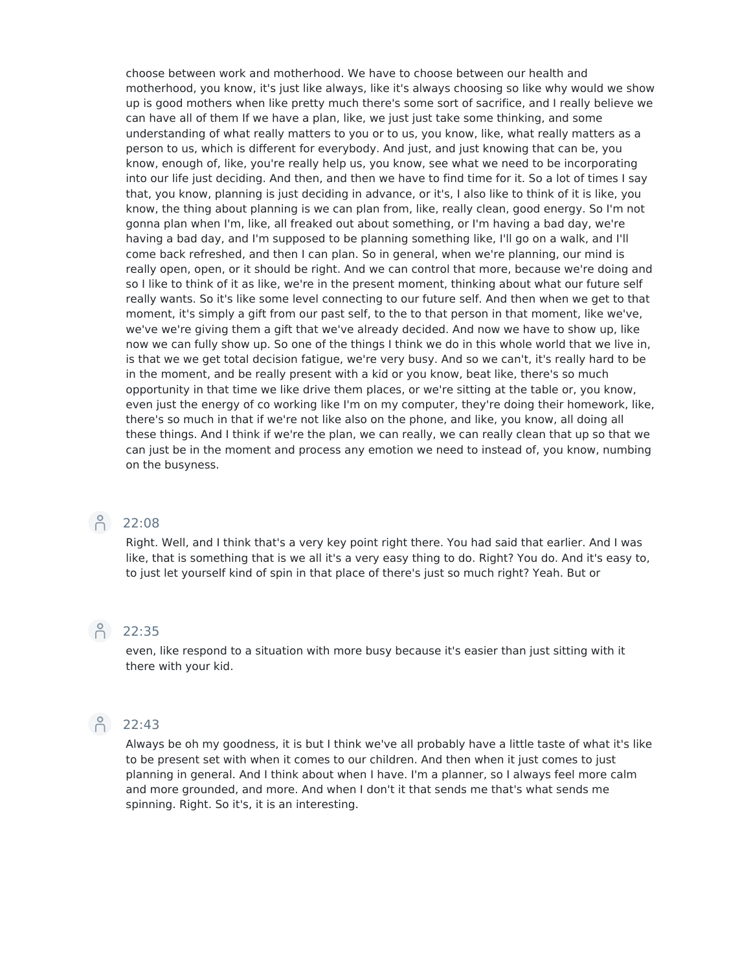choose between work and motherhood. We have to choose between our health and motherhood, you know, it's just like always, like it's always choosing so like why would we show up is good mothers when like pretty much there's some sort of sacrifice, and I really believe we can have all of them If we have a plan, like, we just just take some thinking, and some understanding of what really matters to you or to us, you know, like, what really matters as a person to us, which is different for everybody. And just, and just knowing that can be, you know, enough of, like, you're really help us, you know, see what we need to be incorporating into our life just deciding. And then, and then we have to find time for it. So a lot of times I say that, you know, planning is just deciding in advance, or it's, I also like to think of it is like, you know, the thing about planning is we can plan from, like, really clean, good energy. So I'm not gonna plan when I'm, like, all freaked out about something, or I'm having a bad day, we're having a bad day, and I'm supposed to be planning something like, I'll go on a walk, and I'll come back refreshed, and then I can plan. So in general, when we're planning, our mind is really open, open, or it should be right. And we can control that more, because we're doing and so I like to think of it as like, we're in the present moment, thinking about what our future self really wants. So it's like some level connecting to our future self. And then when we get to that moment, it's simply a gift from our past self, to the to that person in that moment, like we've, we've we're giving them a gift that we've already decided. And now we have to show up, like now we can fully show up. So one of the things I think we do in this whole world that we live in, is that we we get total decision fatigue, we're very busy. And so we can't, it's really hard to be in the moment, and be really present with a kid or you know, beat like, there's so much opportunity in that time we like drive them places, or we're sitting at the table or, you know, even just the energy of co working like I'm on my computer, they're doing their homework, like, there's so much in that if we're not like also on the phone, and like, you know, all doing all these things. And I think if we're the plan, we can really, we can really clean that up so that we can just be in the moment and process any emotion we need to instead of, you know, numbing on the busyness.



### A 22:08

Right. Well, and I think that's a very key point right there. You had said that earlier. And I was like, that is something that is we all it's a very easy thing to do. Right? You do. And it's easy to, to just let yourself kind of spin in that place of there's just so much right? Yeah. But or

### Pc 22:35

even, like respond to a situation with more busy because it's easier than just sitting with it there with your kid.



### Pc 22:43

Always be oh my goodness, it is but I think we've all probably have a little taste of what it's like to be present set with when it comes to our children. And then when it just comes to just planning in general. And I think about when I have. I'm a planner, so I always feel more calm and more grounded, and more. And when I don't it that sends me that's what sends me spinning. Right. So it's, it is an interesting.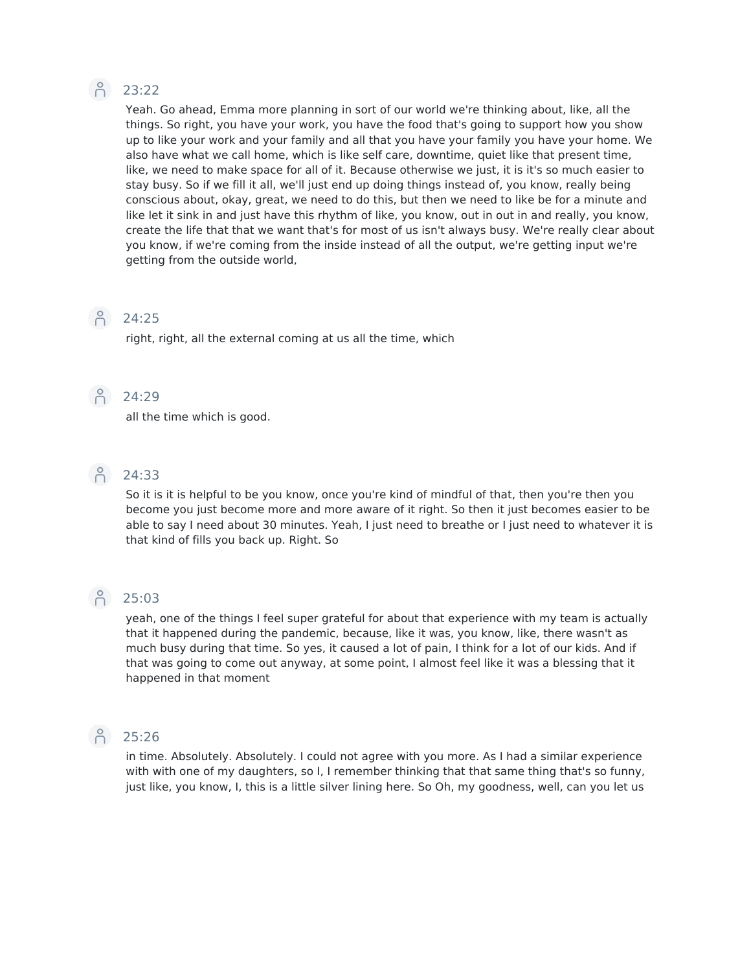### $\beta$  23:22

Yeah. Go ahead, Emma more planning in sort of our world we're thinking about, like, all the things. So right, you have your work, you have the food that's going to support how you show up to like your work and your family and all that you have your family you have your home. We also have what we call home, which is like self care, downtime, quiet like that present time, like, we need to make space for all of it. Because otherwise we just, it is it's so much easier to stay busy. So if we fill it all, we'll just end up doing things instead of, you know, really being conscious about, okay, great, we need to do this, but then we need to like be for a minute and like let it sink in and just have this rhythm of like, you know, out in out in and really, you know, create the life that that we want that's for most of us isn't always busy. We're really clear about you know, if we're coming from the inside instead of all the output, we're getting input we're getting from the outside world,

### $\bigcap_{24:25}^{\circ}$

right, right, all the external coming at us all the time, which

### $\bigcap_{24:29}^{\circ}$

all the time which is good.



So it is it is helpful to be you know, once you're kind of mindful of that, then you're then you become you just become more and more aware of it right. So then it just becomes easier to be able to say I need about 30 minutes. Yeah, I just need to breathe or I just need to whatever it is that kind of fills you back up. Right. So

### Pc 25:03

yeah, one of the things I feel super grateful for about that experience with my team is actually that it happened during the pandemic, because, like it was, you know, like, there wasn't as much busy during that time. So yes, it caused a lot of pain, I think for a lot of our kids. And if that was going to come out anyway, at some point, I almost feel like it was a blessing that it happened in that moment

 $\bigcap_{25:26}$ 

in time. Absolutely. Absolutely. I could not agree with you more. As I had a similar experience with with one of my daughters, so I, I remember thinking that that same thing that's so funny, just like, you know, I, this is a little silver lining here. So Oh, my goodness, well, can you let us